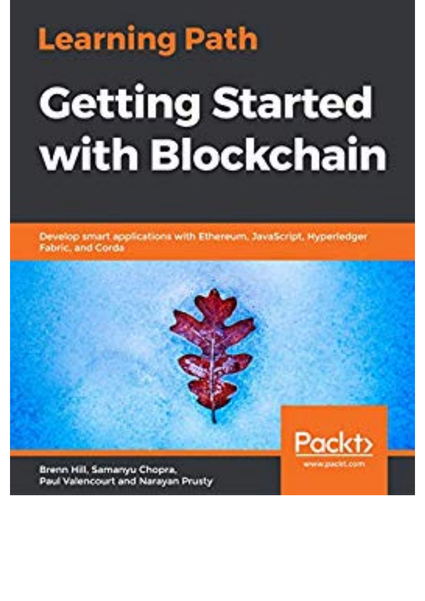## **Learning Path Getting Started** with Blockchain

Develop smart applications with Ethereum, JavaScript, Hyperledger Fabric, and Corda

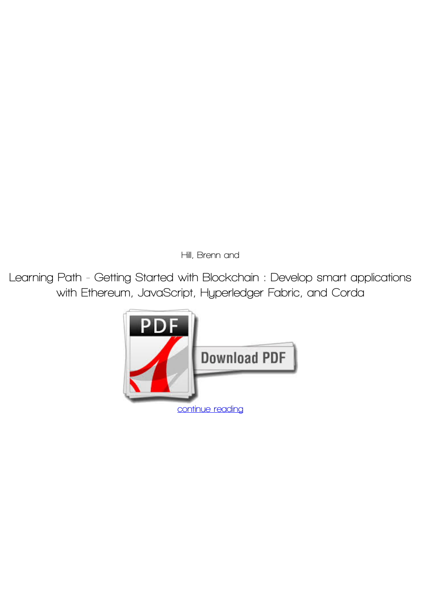*Hill, Brenn and*

**Learning Path - Getting Started with Blockchain : Develop smart applications with Ethereum, JavaScript, Hyperledger Fabric, and Corda**

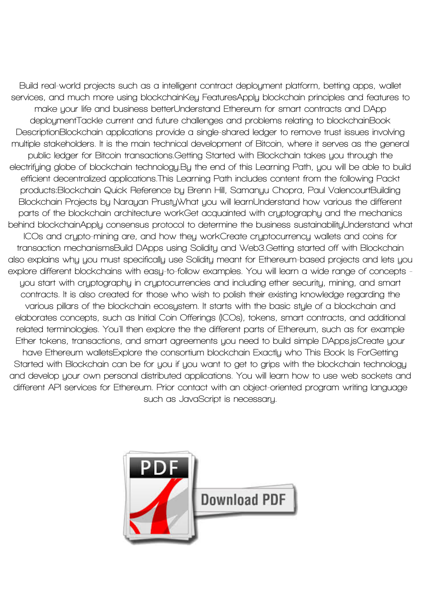**Build real-world projects such as a intelligent contract deployment platform, betting apps, wallet services, and much more using blockchainKey FeaturesApply blockchain principles and features to make your life and business betterUnderstand Ethereum for smart contracts and DApp deploymentTackle current and future challenges and problems relating to blockchainBook DescriptionBlockchain applications provide a single-shared ledger to remove trust issues involving multiple stakeholders. It is the main technical development of Bitcoin, where it serves as the general public ledger for Bitcoin transactions.Getting Started with Blockchain takes you through the electrifying globe of blockchain technology.By the end of this Learning Path, you will be able to build efficient decentralized applications.This Learning Path includes content from the following Packt products:Blockchain Quick Reference by Brenn Hill, Samanyu Chopra, Paul ValencourtBuilding Blockchain Projects by Narayan PrustyWhat you will learnUnderstand how various the different parts of the blockchain architecture workGet acquainted with cryptography and the mechanics behind blockchainApply consensus protocol to determine the business sustainabilityUnderstand what ICOs and crypto-mining are, and how they workCreate cryptocurrency wallets and coins for transaction mechanismsBuild DApps using Solidity and Web3.Getting started off with Blockchain also explains why you must specifically use Solidity meant for Ethereum-based projects and lets you explore different blockchains with easy-to-follow examples. You will learn a wide range of concepts you start with cryptography in cryptocurrencies and including ether security, mining, and smart contracts. It is also created for those who wish to polish their existing knowledge regarding the various pillars of the blockchain ecosystem. It starts with the basic style of a blockchain and elaborates concepts, such as Initial Coin Offerings (ICOs), tokens, smart contracts, and additional related terminologies. You'll then explore the the different parts of Ethereum, such as for example Ether tokens, transactions, and smart agreements you need to build simple DApps.jsCreate your have Ethereum walletsExplore the consortium blockchain Exactly who This Book Is ForGetting Started with Blockchain can be for you if you want to get to grips with the blockchain technology and develop your own personal distributed applications. You will learn how to use web sockets and different API services for Ethereum. Prior contact with an object-oriented program writing language such as JavaScript is necessary.**